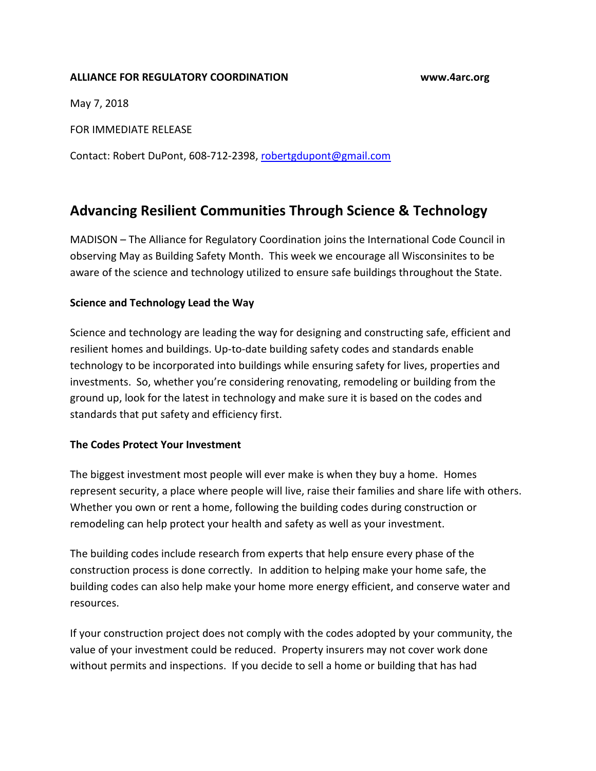## **ALLIANCE FOR REGULATORY COORDINATION www.4arc.org**

May 7, 2018

FOR IMMEDIATE RELEASE

Contact: Robert DuPont, 608-712-2398, [robertgdupont@gmail.com](mailto:robertgdupont@gmail.com)

## **Advancing Resilient Communities Through Science & Technology**

MADISON – The Alliance for Regulatory Coordination joins the International Code Council in observing May as Building Safety Month. This week we encourage all Wisconsinites to be aware of the science and technology utilized to ensure safe buildings throughout the State.

## **Science and Technology Lead the Way**

Science and technology are leading the way for designing and constructing safe, efficient and resilient homes and buildings. Up-to-date building safety codes and standards enable technology to be incorporated into buildings while ensuring safety for lives, properties and investments. So, whether you're considering renovating, remodeling or building from the ground up, look for the latest in technology and make sure it is based on the codes and standards that put safety and efficiency first.

## **The Codes Protect Your Investment**

The biggest investment most people will ever make is when they buy a home. Homes represent security, a place where people will live, raise their families and share life with others. Whether you own or rent a home, following the building codes during construction or remodeling can help protect your health and safety as well as your investment.

The building codes include research from experts that help ensure every phase of the construction process is done correctly. In addition to helping make your home safe, the building codes can also help make your home more energy efficient, and conserve water and resources.

If your construction project does not comply with the codes adopted by your community, the value of your investment could be reduced. Property insurers may not cover work done without permits and inspections. If you decide to sell a home or building that has had